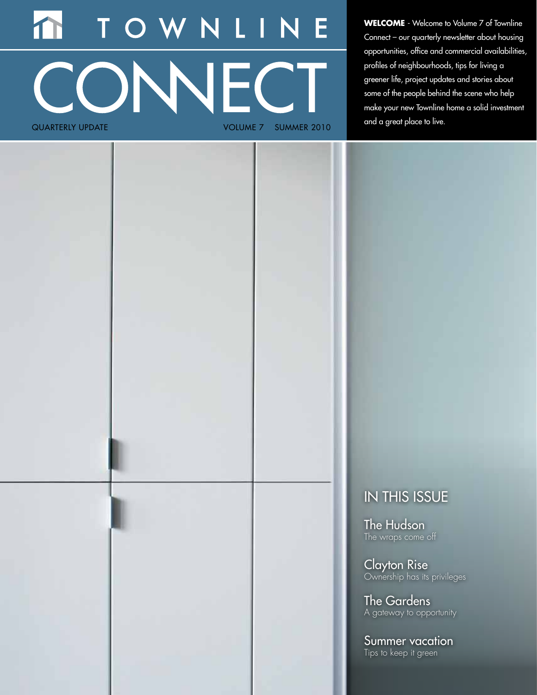# OWNLIN T. CONNECT quarterly update Volume 7 SUMMER 2010

**WELCOME** - Welcome to Volume 7 of Townline Connect – our quarterly newsletter about housing opportunities, office and commercial availabilities, profiles of neighbourhoods, tips for living a greener life, project updates and stories about some of the people behind the scene who help make your new Townline home a solid investment and a great place to live.

## IN THIS ISSUE

The Hudson The wraps come off

Clayton Rise Ownership has its privileges

The Gardens A gateway to opportunity

Summer vacation Tips to keep it green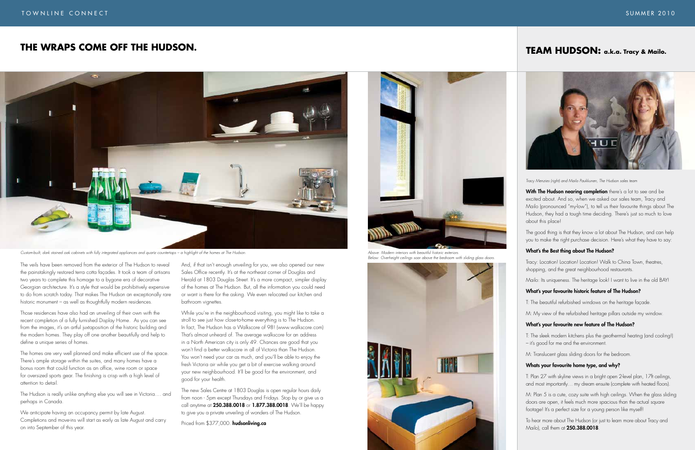The veils have been removed from the exterior of The Hudson to reveal the painstakingly restored terra cotta façades. It took a team of artisans two years to complete this homage to a bygone era of decorative Georgian architecture. It's a style that would be prohibitively expensive to do from scratch today. That makes The Hudson an exceptionally rare historic monument – as well as thoughtfully modern residences.

Those residences have also had an unveiling of their own with the recent completion of a fully furnished Display Home. As you can see from the images, it's an artful juxtaposition of the historic building and the modern homes. They play off one another beautifully and help to define a unique series of homes.

The homes are very well planned and make efficient use of the space. There's ample storage within the suites, and many homes have a bonus room that could function as an office, wine room or space for oversized sports gear. The finishing is crisp with a high level of attention to detail.

The Hudson is really unlike anything else you will see in Victoria.... and perhaps in Canada.

We anticipate having an occupancy permit by late August. Completions and move-ins will start as early as late August and carry on into September of this year.

And, if that isn't enough unveiling for you, we also opened our new Sales Office recently. It's at the northeast corner of Douglas and Herald at 1803 Douglas Street. It's a more compact, simpler display of the homes at The Hudson. But, all the information you could need or want is there for the asking. We even relocated our kitchen and bathroom vignettes.

With The Hudson nearing completion there's a lot to see and be excited about. And so, when we asked our sales team, Tracy and Mailo (pronounced "my-low"), to tell us their favourite things about The Hudson, they had a tough time deciding. There's just so much to love about this place!

While you're in the neighbourhood visiting, you might like to take a stroll to see just how close-to-home everything is to The Hudson. In fact, The Hudson has a Walkscore of 98! (www.walkscore.com) That's almost unheard of. The average walkscore for an address in a North American city is only 49. Chances are good that you won't find a better walkscore in all of Victoria than The Hudson. You won't need your car as much, and you'll be able to enjoy the fresh Victoria air while you get a bit of exercise walking around your new neighbourhood. It'll be good for the environment, and good for your health.

The new Sales Centre at 1803 Douglas is open regular hours daily from noon - 5pm except Thursdays and Fridays. Stop by or give us a call anytime at 250.388.0018 or 1.877.388.0018. We'll be happy to give you a private unveiling of wonders of The Hudson.

Priced from \$377,000. hudsonliving.ca

## **Team Hudson: a.k.a. Tracy & Mailo.**



## **The Wraps Come Off The Hudson.**

*Tracy Menzies (right) and Mailo Paukkunen, The Hudson sales team*

The good thing is that they know a lot about The Hudson, and can help you to make the right purchase decision. Here's what they have to say:

#### What's the Best thing about The Hudson?

Tracy: Location! Location! Location! Walk to China Town, theatres, shopping, and the great neighbourhood restaurants.

Mailo: Its uniqueness. The heritage look! I want to live in the old BAY!

#### What's your favourite historic feature of The Hudson?

T: The beautiful refurbished windows on the heritage façade.

M: My view of the refurbished heritage pillars outside my window.

#### What's your favourite new feature of The Hudson?

T: The sleek modern kitchens plus the geothermal heating (and cooling!) – it's good for me and the environment.

M: Translucent glass sliding doors for the bedroom.

#### Whats your favourite home type, and why?

T: Plan 27 with skyline views in a bright open 2-level plan, 17ft ceilings, and most importantly… my dream ensuite (complete with heated floors).

M: Plan 5 is a cute, cozy suite with high ceilings. When the glass sliding doors are open, it feels much more spacious than the actual square footage! It's a perfect size for a young person like myself!

To hear more about The Hudson (or just to learn more about Tracy and Mailo), call them at 250.388.0018.



*Custom-built, dark stained oak cabinets with fully integrated appliances and quartz countertops – a highlight of the homes at The Hudson. Above: Modern interiors with beautiful historic exteriors.*



*Below: Overheight ceilings soar above the bedroom with sliding glass doors.*

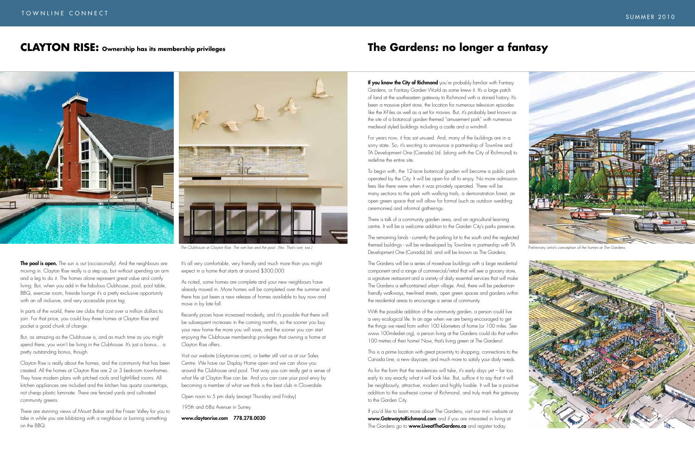**If you know the City of Richmond** you're probably familiar with Fantasy Gardens, or Fantasy Garden World as some knew it. It's a large patch of land at the southeastern gateway to Richmond with a storied history. It's been a massive plant store, the location for numerous television episodes like the X-Files as well as a set for movies. But, it's probably best known as the site of a botanical garden themed "amusement park" with numerous medieval styled buildings including a castle and a windmill.

For years now, it has sat unused. And, many of the buildings are in a sorry state. So, it's exciting to announce a partnership of Townline and TA Development One (Canada) Ltd. (along with the City of Richmond) to redefine the entire site.

To begin with, the 12-acre botanical garden will become a public park operated by the City. It will be open for all to enjoy. No more admission fees like there were when it was privately operated. There will be many sections to the park with walking trails, a demonstration forest, an open green space that will allow for formal (such as outdoor wedding ceremonies) and informal gatherings.

There is talk of a community garden area, and an agricultural learning centre. It will be a welcome addition to the Garden City's parks preserve.

If you'd like to learn more about The Gardens, visit our mini website at www.GatewaytoRichmond.com and if you are interested in living at The Gardens go to **www.LiveatTheGardens.ca** and register today.





The Gardens will be a series of mixed-use buildings with a large residential component and a range of commercial/retail that will see a grocery store, a signature restaurant and a variety of daily essential services that will make The Gardens a self-contained urban village. And, there will be pedestrianfriendly walkways, tree-lined streets, open green spaces and gardens within the residential areas to encourage a sense of community.

With the possible addition of the community garden, a person could live a very ecological life. In an age when we are being encouraged to get the things we need from within 100 kilometers of home (or 100 miles. See www.100milediet.org), a person living at the Gardens could do that within 100 metres of their home! Now, that's living green at The Gardens!

This is a prime location with great proximity to shopping, connections to the Canada Line, a new daycare, and much more to satisfy your daily needs.

As for the form that the residences will take, it's early days yet – far too early to say exactly what it will look like. But, suffice it to say that it will be neighbourly, attractive, modern and highly livable. It will be a positive addition to the southeast corner of Richmond, and truly mark the gateway to the Garden City.

## **The Gardens: no longer a fantasy**

The remaining lands - currently the parking lot to the south and the neglected themed buildings - will be re-developed by Townline in partnership with TA Development One (Canada) Ltd. and will be known as The Gardens. *The Clubhouse at Clayton Rise. The wet bar and the pool. (Yes. That's wet, too.) Preliminary artist's conception of the homes at The Gardens.*

In parts of the world, there are clubs that cost over a million dollars to join. For that price, you could buy three homes at Clayton Rise and pocket a good chunk of change.

But, as amazing as the Clubhouse is, and as much time as you might spend there, you won't be living in the Clubhouse. It's just a bonus... a pretty outstanding bonus, though.

Clayton Rise is really about the homes, and the community that has been created. All the homes at Clayton Rise are 2 or 3 bedroom townhomes. They have modern plans with pitched roofs and light-filled rooms. All kitchen appliances are included and the kitchen has quartz countertops, not cheap plastic laminate. There are fenced yards and cultivated community greens.

There are stunning views of Mount Baker and the Fraser Valley for you to take in while you are kibbitzing with a neighbour or burning something on the BBQ.



It's all very comfortable, very friendly and much more than you might expect in a home that starts at around \$300,000.

As noted, some homes are complete and your new neighbours have already moved in. More homes will be completed over the summer and there has just been a new release of homes available to buy now and move in by late fall.

Recently prices have increased modestly, and it's possible that there will be subsequent increases in the coming months, so the sooner you buy your new home the more you will save, and the sooner you can start enjoying the Clubhouse membership privileges that owning a home at Clayton Rise offers.

Visit our website (claytonrise.com), or better still visit us at our Sales Centre. We have our Display Home open and we can show you around the Clubhouse and pool. That way you can really get a sense of what life at Clayton Rise can be. And you can cure your pool envy by becoming a member of what we think is the best club in Cloverdale.

Open noon to 5 pm daily (except Thursday and Friday)

195th and 68a Avenue in Surrey.

www.claytonrise.com 778.278.0030

## **CLAYTON RISE: Ownership has its membership privileges**



**The pool is open.** The sun is out (occasionally). And the neighbours are moving in. Clayton Rise really is a step up, but without spending an arm and a leg to do it. The homes alone represent great value and comfy living. But, when you add in the fabulous Clubhouse, pool, pool table, BBQ, exercise room, fireside lounge it's a pretty exclusive opportunity with an all inclusive, and very accessible price taa.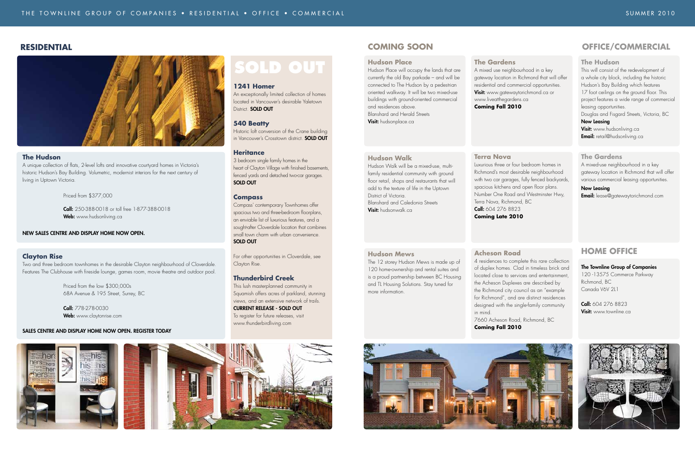#### **RESIDENTIAL COMING SOON**

#### **The Hudson**

This will consist of the redevelopment of a whole city block, including the historic Hudson's Bay Building which features 17 foot ceilings on the ground floor. This project features a wide range of commercial leasing opportunities.

Douglas and Fisgard Streets, Victoria, BC Now Leasing

**Visit:** www.hudsonliving.ca **Email:** retail@hudsonliving.ca

Hudson Place will occupy the lands that are currently the old Bay parkade – and will be connected to The Hudson by a pedestrian oriented walkway. It will be two mixed-use buildings with ground-oriented commercial and residences above. Blanshard and Herald Streets Visit: hudsonplace.ca

#### **The Gardens**

A mixed-use neighbourhood in a key gateway location in Richmond that will offer various commercial leasing opportunities.

#### Now Leasing

**Email:** lease@gatewaytorichmond.com

## **HOME Office**

#### The Townline Group of Companies 120 -13575 Commerce Parkway Richmond, BC Canada V6V 2L1

Call: 604 276 8823 **Visit:** www.townline.ca



A mixed use neighbourhood in a key gateway location in Richmond that will offer residential and commercial opportunities. **Visit:** www.gatewaytorichmond.ca or

#### **OFFICE/COMMERCIAL**

#### **Hudson Place**

#### **Hudson Walk**

Hudson Walk will be a mixed-use, multifamily residential community with ground floor retail, shops and restaurants that will add to the texture of life in the Uptown District of Victoria. Blanshard and Caledonia Streets Visit: hudsonwalk.ca

#### **Hudson Mews**

The 12 storey Hudson Mews is made up of 120 home-ownership and rental suites and is a proud partnership between BC Housing and TL Housing Solutions. Stay tuned for more information.

 Call: 250-388-0018 or toll free 1-877-388-0018 Web: www.hudsonliving.ca

An exceptionally limited collection of homes located in Vancouver's desirable Yaletown District. **SOLD OUT** 

## **The Gardens**

Historic loft conversion of the Crane building in Vancouver's Crosstown district. **SOLD OUT**  www.liveatthegardens.ca **Coming Fall 2010** 

Luxurious three or four bedroom homes in Richmond's most desirable neighbourhood with two car garages, fully fenced backyards, spacious kitchens and open floor plans. Number One Road and Westminster Hwy,

## **Terra Nova** Terra Nova, Richmond, BC Call: 604 276 8823 **Coming Late 2010**

# **Acheson Road**  4 residences to complete this rare collection in mind.

of duplex homes. Clad in timeless brick and located close to services and entertainment, the Acheson Duplexes are described by the Richmond city council as an "example for Richmond", and are distinct residences designed with the single-family community

7660 Acheson Road, Richmond, BC **Coming Fall 2010**



# **SOLD OUT**

#### **Clayton Rise**

Two and three bedroom townhomes in the desirable Clayton neighbourhood of Cloverdale. Features The Clubhouse with fireside lounge, games room, movie theatre and outdoor pool.

> Priced from the low \$300,000s 68A Avenue & 195 Street, Surrey, BC

Call: 778-278-0030 Web: www.claytonrise.com

#### SALES CENTRE AND DISPLAY HOME NOW OPEN. Register Today







#### **The Hudson**

A unique collection of flats, 2-level lofts and innovative courtyard homes in Victoria's historic Hudson's Bay Building. Volumetric, modernist interiors for the next century of living in Uptown Victoria.

Priced from \$377,000

#### NEW SALES CENTRE AND DISPLAY HOME NOW OPEN.

#### **1241 Homer**

#### **540 Beatty**

#### **Heritance**

3 bedroom single family homes in the heart of Clayton Village with finished basements, fenced yards and detached two-car garages. SOLD OUT

#### **Compass**

Compass' contemporary Townhomes offer spacious two and three-bedroom floorplans, an enviable list of luxurious features, and a sought-after Cloverdale location that combines small town charm with urban convenience. SOLD OUT

For other opportunities in Cloverdale, see Clayton Rise.

#### **Thunderbird Creek**

This lush masterplanned community in Squamish offers acres of parkland, stunning views, and an extensive network of trails. CURRENT RELEASE - SOLD OUT To register for future releases, visit www.thunderbirdliving.com